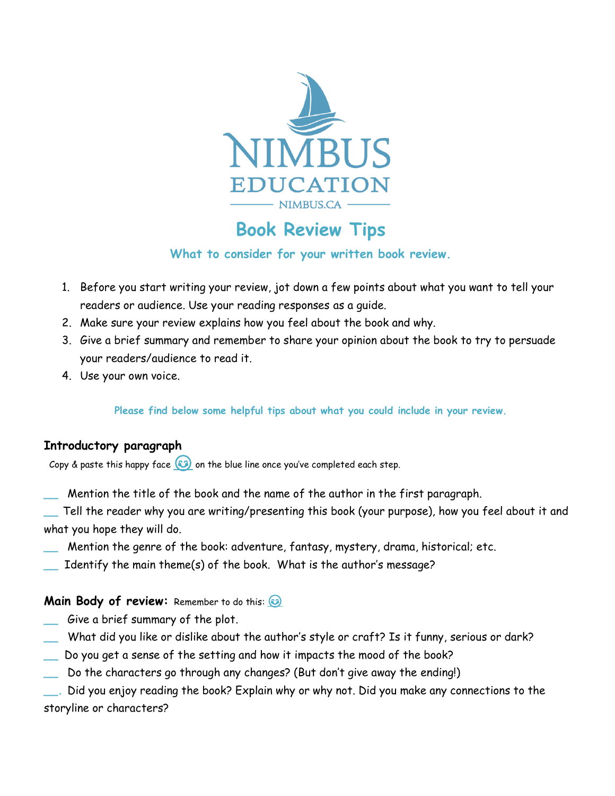

# **Book Review Tips**

### **What to consider for your written book review.**

- 1. Before you start writing your review, jot down a few points about what you want to tell your readers or audience. Use your reading responses as a guide.
- 2. Make sure your review explains how you feel about the book and why.
- 3. Give a brief summary and remember to share your opinion about the book to try to persuade your readers/audience to read it.
- 4. Use your own voice.

**Please find below some helpful tips about what you could include in your review.**

## **Introductory paragraph**

Copy & paste this happy face  $\circledast$  on the blue line once you've completed each step.

- **\_\_** Mention the title of the book and the name of the author in the first paragraph.
- **\_\_** Tell the reader why you are writing/presenting this book (your purpose), how you feel about it and what you hope they will do.
- **\_\_** Mention the genre of the book: adventure, fantasy, mystery, drama, historical; etc.
- **\_\_** Identify the main theme(s) of the book. What is the author's message?

#### **Main Body of review:** Remember to do this: **8**

- **\_\_** Give a brief summary of the plot.
- **\_\_** What did you like or dislike about the author's style or craft? Is it funny, serious or dark?
- **\_\_** Do you get a sense of the setting and how it impacts the mood of the book?
- **\_\_** Do the characters go through any changes? (But don't give away the ending!)
- Did you enjoy reading the book? Explain why or why not. Did you make any connections to the storyline or characters?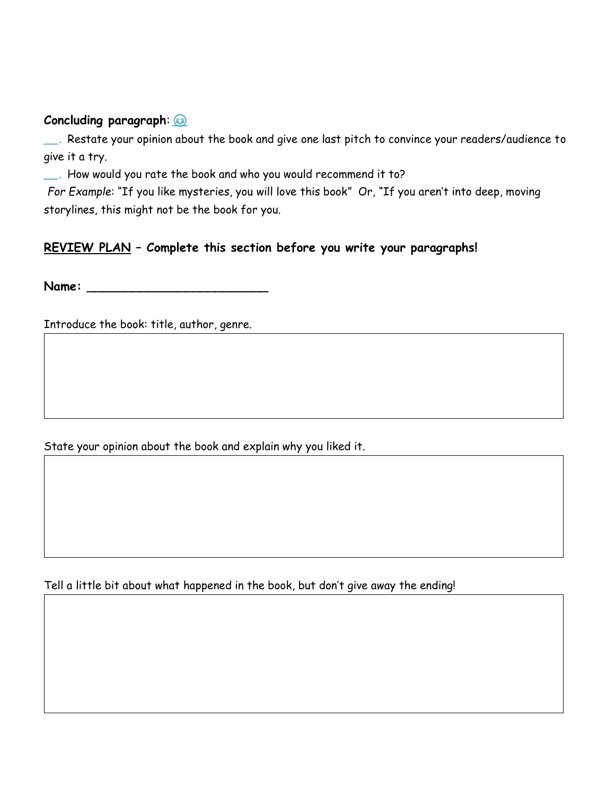#### **Concluding paragraph**:

**\_\_.** Restate your opinion about the book and give one last pitch to convince your readers/audience to give it a try.

**\_\_.** How would you rate the book and who you would recommend it to?

*For Example*: "If you like mysteries, you will love this book" Or, "If you aren't into deep, moving storylines, this might not be the book for you.

## **REVIEW PLAN – Complete this section before you write your paragraphs!**

**Name: \_\_\_\_\_\_\_\_\_\_\_\_\_\_\_\_\_\_\_\_\_\_\_\_**

Introduce the book: title, author, genre.

State your opinion about the book and explain why you liked it.

Tell a little bit about what happened in the book, but don't give away the ending!